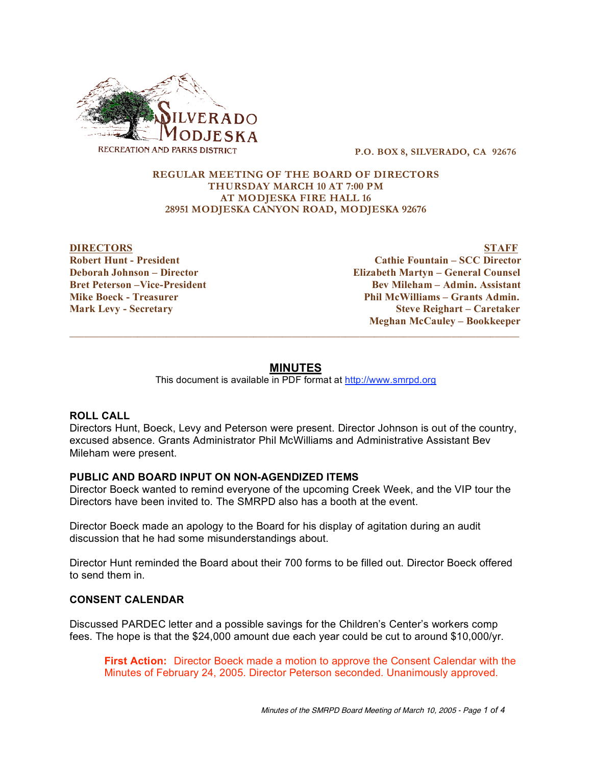

**P.O. BOX 8, SILVERADO, CA 92676**

#### **REGULAR MEETING OF THE BOARD OF DIRECTORS THURSDAY MARCH 10 AT 7:00 PM AT MODJESKA FIRE HALL 16 28951 MODJESKA CANYON ROAD, MODJESKA 92676**

**DIRECTORS STAFF Robert Hunt - President Cathie Fountain – SCC Director Deborah Johnson – Director Elizabeth Martyn – General Counsel Bret Peterson –Vice-President Bev Mileham – Admin. Assistant Mike Boeck - Treasurer Phil McWilliams – Grants Admin. Mark Levy - Secretary Steve Reighart – Caretaker Meghan McCauley – Bookkeeper**

# **MINUTES**

 $\_$  ,  $\_$  ,  $\_$  ,  $\_$  ,  $\_$  ,  $\_$  ,  $\_$  ,  $\_$  ,  $\_$  ,  $\_$  ,  $\_$  ,  $\_$  ,  $\_$  ,  $\_$  ,  $\_$  ,  $\_$  ,  $\_$  ,  $\_$  ,  $\_$  ,  $\_$  ,  $\_$  ,  $\_$  ,  $\_$  ,  $\_$  ,  $\_$  ,  $\_$  ,  $\_$  ,  $\_$  ,  $\_$  ,  $\_$  ,  $\_$  ,  $\_$  ,  $\_$  ,  $\_$  ,  $\_$  ,  $\_$  ,  $\_$  ,

This document is available in PDF format at http://www.smrpd.org

### **ROLL CALL**

Directors Hunt, Boeck, Levy and Peterson were present. Director Johnson is out of the country, excused absence. Grants Administrator Phil McWilliams and Administrative Assistant Bev Mileham were present.

### **PUBLIC AND BOARD INPUT ON NON-AGENDIZED ITEMS**

Director Boeck wanted to remind everyone of the upcoming Creek Week, and the VIP tour the Directors have been invited to. The SMRPD also has a booth at the event.

Director Boeck made an apology to the Board for his display of agitation during an audit discussion that he had some misunderstandings about.

Director Hunt reminded the Board about their 700 forms to be filled out. Director Boeck offered to send them in.

### **CONSENT CALENDAR**

Discussed PARDEC letter and a possible savings for the Children's Center's workers comp fees. The hope is that the \$24,000 amount due each year could be cut to around \$10,000/yr.

**First Action:** Director Boeck made a motion to approve the Consent Calendar with the Minutes of February 24, 2005. Director Peterson seconded. Unanimously approved.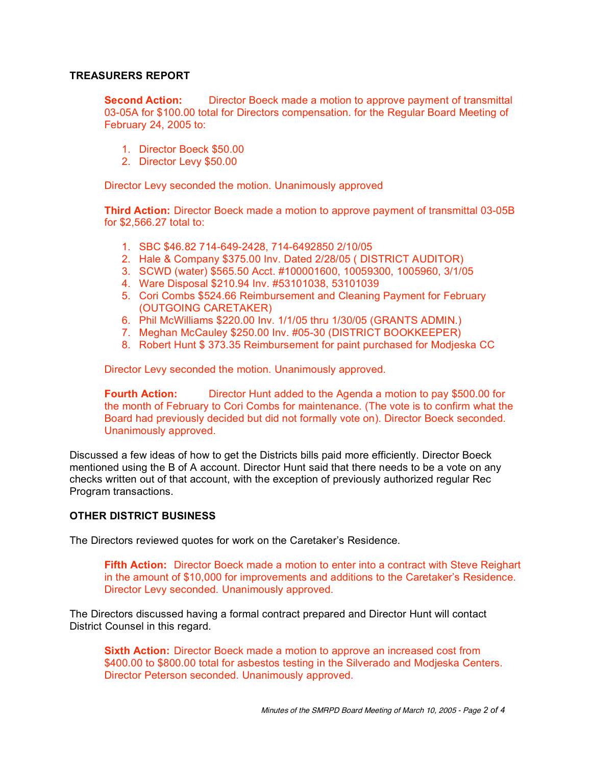# **TREASURERS REPORT**

**Second Action:** Director Boeck made a motion to approve payment of transmittal 03-05A for \$100.00 total for Directors compensation. for the Regular Board Meeting of February 24, 2005 to:

- 1. Director Boeck \$50.00
- 2. Director Levy \$50.00

Director Levy seconded the motion. Unanimously approved

**Third Action:** Director Boeck made a motion to approve payment of transmittal 03-05B for \$2,566.27 total to:

- 1. SBC \$46.82 714-649-2428, 714-6492850 2/10/05
- 2. Hale & Company \$375.00 Inv. Dated 2/28/05 ( DISTRICT AUDITOR)
- 3. SCWD (water) \$565.50 Acct. #100001600, 10059300, 1005960, 3/1/05
- 4. Ware Disposal \$210.94 Inv. #53101038, 53101039
- 5. Cori Combs \$524.66 Reimbursement and Cleaning Payment for February (OUTGOING CARETAKER)
- 6. Phil McWilliams \$220.00 Inv. 1/1/05 thru 1/30/05 (GRANTS ADMIN.)
- 7. Meghan McCauley \$250.00 Inv. #05-30 (DISTRICT BOOKKEEPER)
- 8. Robert Hunt \$ 373.35 Reimbursement for paint purchased for Modjeska CC

Director Levy seconded the motion. Unanimously approved.

**Fourth Action:** Director Hunt added to the Agenda a motion to pay \$500.00 for the month of February to Cori Combs for maintenance. (The vote is to confirm what the Board had previously decided but did not formally vote on). Director Boeck seconded. Unanimously approved.

Discussed a few ideas of how to get the Districts bills paid more efficiently. Director Boeck mentioned using the B of A account. Director Hunt said that there needs to be a vote on any checks written out of that account, with the exception of previously authorized regular Rec Program transactions.

### **OTHER DISTRICT BUSINESS**

The Directors reviewed quotes for work on the Caretaker's Residence.

**Fifth Action:** Director Boeck made a motion to enter into a contract with Steve Reighart in the amount of \$10,000 for improvements and additions to the Caretaker's Residence. Director Levy seconded. Unanimously approved.

The Directors discussed having a formal contract prepared and Director Hunt will contact District Counsel in this regard.

**Sixth Action:** Director Boeck made a motion to approve an increased cost from \$400.00 to \$800.00 total for asbestos testing in the Silverado and Modjeska Centers. Director Peterson seconded. Unanimously approved.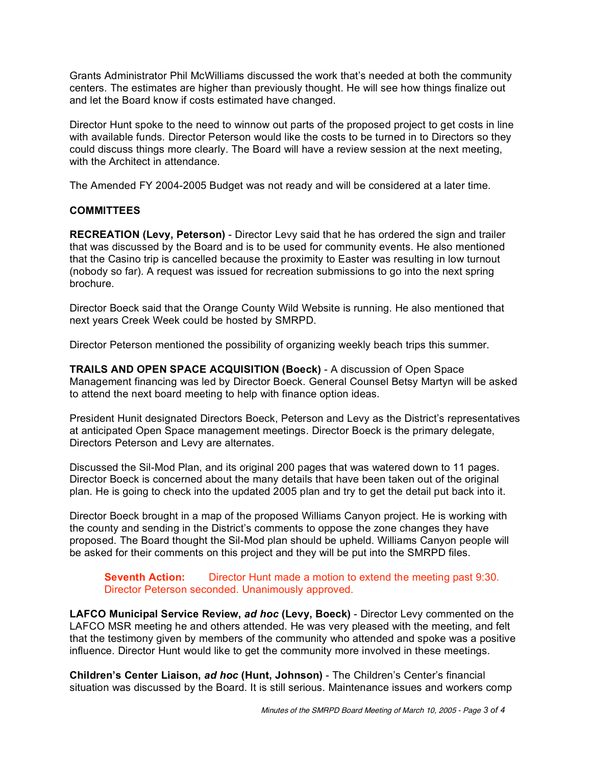Grants Administrator Phil McWilliams discussed the work that's needed at both the community centers. The estimates are higher than previously thought. He will see how things finalize out and let the Board know if costs estimated have changed.

Director Hunt spoke to the need to winnow out parts of the proposed project to get costs in line with available funds. Director Peterson would like the costs to be turned in to Directors so they could discuss things more clearly. The Board will have a review session at the next meeting, with the Architect in attendance.

The Amended FY 2004-2005 Budget was not ready and will be considered at a later time.

# **COMMITTEES**

**RECREATION (Levy, Peterson)** - Director Levy said that he has ordered the sign and trailer that was discussed by the Board and is to be used for community events. He also mentioned that the Casino trip is cancelled because the proximity to Easter was resulting in low turnout (nobody so far). A request was issued for recreation submissions to go into the next spring brochure.

Director Boeck said that the Orange County Wild Website is running. He also mentioned that next years Creek Week could be hosted by SMRPD.

Director Peterson mentioned the possibility of organizing weekly beach trips this summer.

**TRAILS AND OPEN SPACE ACQUISITION (Boeck)** - A discussion of Open Space Management financing was led by Director Boeck. General Counsel Betsy Martyn will be asked to attend the next board meeting to help with finance option ideas.

President Hunit designated Directors Boeck, Peterson and Levy as the District's representatives at anticipated Open Space management meetings. Director Boeck is the primary delegate, Directors Peterson and Levy are alternates.

Discussed the Sil-Mod Plan, and its original 200 pages that was watered down to 11 pages. Director Boeck is concerned about the many details that have been taken out of the original plan. He is going to check into the updated 2005 plan and try to get the detail put back into it.

Director Boeck brought in a map of the proposed Williams Canyon project. He is working with the county and sending in the District's comments to oppose the zone changes they have proposed. The Board thought the Sil-Mod plan should be upheld. Williams Canyon people will be asked for their comments on this project and they will be put into the SMRPD files.

**Seventh Action:** Director Hunt made a motion to extend the meeting past 9:30. Director Peterson seconded. Unanimously approved.

**LAFCO Municipal Service Review,** *ad hoc* **(Levy, Boeck)** - Director Levy commented on the LAFCO MSR meeting he and others attended. He was very pleased with the meeting, and felt that the testimony given by members of the community who attended and spoke was a positive influence. Director Hunt would like to get the community more involved in these meetings.

**Children's Center Liaison,** *ad hoc* **(Hunt, Johnson)** - The Children's Center's financial situation was discussed by the Board. It is still serious. Maintenance issues and workers comp